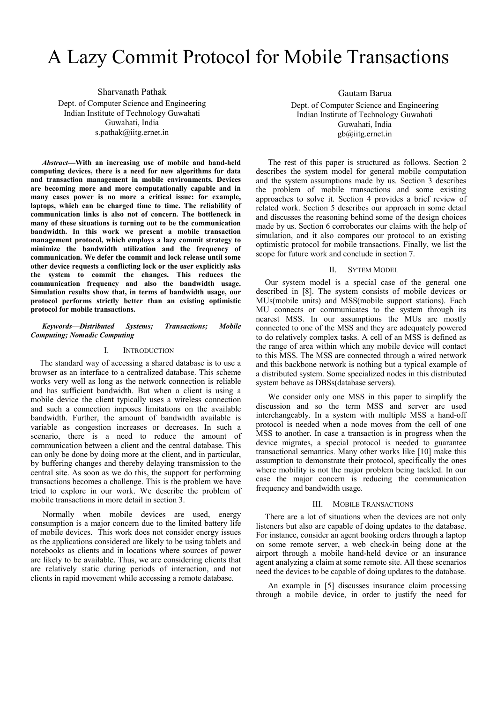# A Lazy Commit Protocol for Mobile Transactions

Sharvanath Pathak

Dept. of Computer Science and Engineering Indian Institute of Technology Guwahati Guwahati, India s.pathak@iitg.ernet.in

*Abstract***—With an increasing use of mobile and hand-held computing devices, there is a need for new algorithms for data and transaction management in mobile environments. Devices are becoming more and more computationally capable and in many cases power is no more a critical issue: for example, laptops, which can be charged time to time. The reliability of communication links is also not of concern. The bottleneck in many of these situations is turning out to be the communication bandwidth. In this work we present a mobile transaction management protocol, which employs a lazy commit strategy to minimize the bandwidth utilization and the frequency of communication. We defer the commit and lock release until some other device requests a conflicting lock or the user explicitly asks the system to commit the changes. This reduces the communication frequency and also the bandwidth usage. Simulation results show that, in terms of bandwidth usage, our protocol performs strictly better than an existing optimistic protocol for mobile transactions.** 

#### *Keywords—Distributed Systems; Transactions; Mobile Computing; Nomadic Computing*

#### I. INTRODUCTION

The standard way of accessing a shared database is to use a browser as an interface to a centralized database. This scheme works very well as long as the network connection is reliable and has sufficient bandwidth. But when a client is using a mobile device the client typically uses a wireless connection and such a connection imposes limitations on the available bandwidth. Further, the amount of bandwidth available is variable as congestion increases or decreases. In such a scenario, there is a need to reduce the amount of communication between a client and the central database. This can only be done by doing more at the client, and in particular, by buffering changes and thereby delaying transmission to the central site. As soon as we do this, the support for performing transactions becomes a challenge. This is the problem we have tried to explore in our work. We describe the problem of mobile transactions in more detail in section 3.

Normally when mobile devices are used, energy consumption is a major concern due to the limited battery life of mobile devices. This work does not consider energy issues as the applications considered are likely to be using tablets and notebooks as clients and in locations where sources of power are likely to be available. Thus, we are considering clients that are relatively static during periods of interaction, and not clients in rapid movement while accessing a remote database.

Gautam Barua

Dept. of Computer Science and Engineering Indian Institute of Technology Guwahati Guwahati, India gb@iitg.ernet.in

The rest of this paper is structured as follows. Section 2 describes the system model for general mobile computation and the system assumptions made by us. Section 3 describes the problem of mobile transactions and some existing approaches to solve it. Section 4 provides a brief review of related work. Section 5 describes our approach in some detail and discusses the reasoning behind some of the design choices made by us. Section 6 corroborates our claims with the help of simulation, and it also compares our protocol to an existing optimistic protocol for mobile transactions. Finally, we list the scope for future work and conclude in section 7.

#### II. SYTEM MODEL

Our system model is a special case of the general one described in [8]. The system consists of mobile devices or MUs(mobile units) and MSS(mobile support stations). Each MU connects or communicates to the system through its nearest MSS. In our assumptions the MUs are mostly connected to one of the MSS and they are adequately powered to do relatively complex tasks. A cell of an MSS is defined as the range of area within which any mobile device will contact to this MSS. The MSS are connected through a wired network and this backbone network is nothing but a typical example of a distributed system. Some specialized nodes in this distributed system behave as DBSs(database servers).

We consider only one MSS in this paper to simplify the discussion and so the term MSS and server are used interchangeably. In a system with multiple MSS a hand-off protocol is needed when a node moves from the cell of one MSS to another. In case a transaction is in progress when the device migrates, a special protocol is needed to guarantee transactional semantics. Many other works like [10] make this assumption to demonstrate their protocol, specifically the ones where mobility is not the major problem being tackled. In our case the major concern is reducing the communication frequency and bandwidth usage.

#### III. MOBILE TRANSACTIONS

There are a lot of situations when the devices are not only listeners but also are capable of doing updates to the database. For instance, consider an agent booking orders through a laptop on some remote server, a web check-in being done at the airport through a mobile hand-held device or an insurance agent analyzing a claim at some remote site. All these scenarios need the devices to be capable of doing updates to the database.

An example in [5] discusses insurance claim processing through a mobile device, in order to justify the need for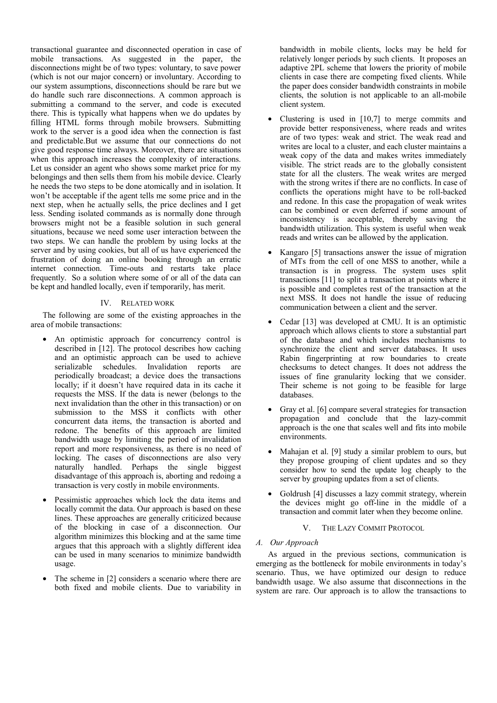transactional guarantee and disconnected operation in case of mobile transactions. As suggested in the paper, the disconnections might be of two types: voluntary, to save power (which is not our major concern) or involuntary. According to our system assumptions, disconnections should be rare but we do handle such rare disconnections. A common approach is submitting a command to the server, and code is executed there. This is typically what happens when we do updates by filling HTML forms through mobile browsers. Submitting work to the server is a good idea when the connection is fast and predictable.But we assume that our connections do not give good response time always. Moreover, there are situations when this approach increases the complexity of interactions. Let us consider an agent who shows some market price for my belongings and then sells them from his mobile device. Clearly he needs the two steps to be done atomically and in isolation. It won't be acceptable if the agent tells me some price and in the next step, when he actually sells, the price declines and I get less. Sending isolated commands as is normally done through browsers might not be a feasible solution in such general situations, because we need some user interaction between the two steps. We can handle the problem by using locks at the server and by using cookies, but all of us have experienced the frustration of doing an online booking through an erratic internet connection. Time-outs and restarts take place frequently. So a solution where some of or all of the data can be kept and handled locally, even if temporarily, has merit.

## IV. RELATED WORK

The following are some of the existing approaches in the area of mobile transactions:

- An optimistic approach for concurrency control is described in [12]. The protocol describes how caching and an optimistic approach can be used to achieve serializable schedules. Invalidation reports are periodically broadcast; a device does the transactions locally; if it doesn't have required data in its cache it requests the MSS. If the data is newer (belongs to the next invalidation than the other in this transaction) or on submission to the MSS it conflicts with other concurrent data items, the transaction is aborted and redone. The benefits of this approach are limited bandwidth usage by limiting the period of invalidation report and more responsiveness, as there is no need of locking. The cases of disconnections are also very naturally handled. Perhaps the single biggest disadvantage of this approach is, aborting and redoing a transaction is very costly in mobile environments.
- Pessimistic approaches which lock the data items and locally commit the data. Our approach is based on these lines. These approaches are generally criticized because of the blocking in case of a disconnection. Our algorithm minimizes this blocking and at the same time argues that this approach with a slightly different idea can be used in many scenarios to minimize bandwidth usage.
- The scheme in [2] considers a scenario where there are both fixed and mobile clients. Due to variability in

bandwidth in mobile clients, locks may be held for relatively longer periods by such clients. It proposes an adaptive 2PL scheme that lowers the priority of mobile clients in case there are competing fixed clients. While the paper does consider bandwidth constraints in mobile clients, the solution is not applicable to an all-mobile client system.

- Clustering is used in [10,7] to merge commits and provide better responsiveness, where reads and writes are of two types: weak and strict. The weak read and writes are local to a cluster, and each cluster maintains a weak copy of the data and makes writes immediately visible. The strict reads are to the globally consistent state for all the clusters. The weak writes are merged with the strong writes if there are no conflicts. In case of conflicts the operations might have to be roll-backed and redone. In this case the propagation of weak writes can be combined or even deferred if some amount of inconsistency is acceptable, thereby saving the bandwidth utilization. This system is useful when weak reads and writes can be allowed by the application.
- Kangaro [5] transactions answer the issue of migration of MTs from the cell of one MSS to another, while a transaction is in progress. The system uses split transactions [11] to split a transaction at points where it is possible and completes rest of the transaction at the next MSS. It does not handle the issue of reducing communication between a client and the server.
- Cedar [13] was developed at CMU. It is an optimistic approach which allows clients to store a substantial part of the database and which includes mechanisms to synchronize the client and server databases. It uses Rabin fingerprinting at row boundaries to create checksums to detect changes. It does not address the issues of fine granularity locking that we consider. Their scheme is not going to be feasible for large databases.
- Gray et al. [6] compare several strategies for transaction propagation and conclude that the lazy-commit approach is the one that scales well and fits into mobile environments.
- Mahajan et al. [9] study a similar problem to ours, but they propose grouping of client updates and so they consider how to send the update log cheaply to the server by grouping updates from a set of clients.
- Goldrush [4] discusses a lazy commit strategy, wherein the devices might go off-line in the middle of a transaction and commit later when they become online.

# V. THE LAZY COMMIT PROTOCOL

# *A. Our Approach*

As argued in the previous sections, communication is emerging as the bottleneck for mobile environments in today's scenario. Thus, we have optimized our design to reduce bandwidth usage. We also assume that disconnections in the system are rare. Our approach is to allow the transactions to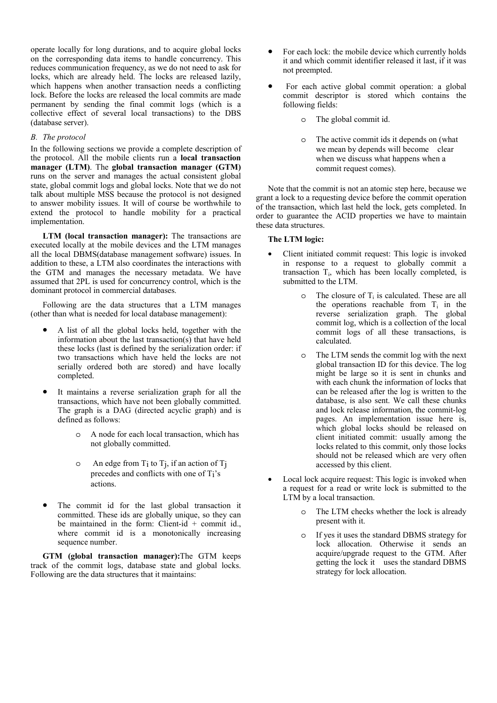operate locally for long durations, and to acquire global locks on the corresponding data items to handle concurrency. This reduces communication frequency, as we do not need to ask for locks, which are already held. The locks are released lazily, which happens when another transaction needs a conflicting lock. Before the locks are released the local commits are made permanent by sending the final commit logs (which is a collective effect of several local transactions) to the DBS (database server).

# *B. The protocol*

In the following sections we provide a complete description of the protocol. All the mobile clients run a **local transaction manager (LTM)**. The **global transaction manager (GTM)** runs on the server and manages the actual consistent global state, global commit logs and global locks. Note that we do not talk about multiple MSS because the protocol is not designed to answer mobility issues. It will of course be worthwhile to extend the protocol to handle mobility for a practical implementation.

**LTM (local transaction manager):** The transactions are executed locally at the mobile devices and the LTM manages all the local DBMS(database management software) issues. In addition to these, a LTM also coordinates the interactions with the GTM and manages the necessary metadata. We have assumed that 2PL is used for concurrency control, which is the dominant protocol in commercial databases.

Following are the data structures that a LTM manages (other than what is needed for local database management):

- A list of all the global locks held, together with the information about the last transaction(s) that have held these locks (last is defined by the serialization order: if two transactions which have held the locks are not serially ordered both are stored) and have locally completed.
- It maintains a reverse serialization graph for all the transactions, which have not been globally committed. The graph is a DAG (directed acyclic graph) and is defined as follows:
	- o A node for each local transaction, which has not globally committed.
	- o An edge from  $T_i$  to  $T_i$ , if an action of  $T_i$ precedes and conflicts with one of Ti's actions.
- The commit id for the last global transaction it committed. These ids are globally unique, so they can be maintained in the form: Client-id  $+$  commit id., where commit id is a monotonically increasing sequence number.

 **GTM (global transaction manager):**The GTM keeps track of the commit logs, database state and global locks. Following are the data structures that it maintains:

- For each lock: the mobile device which currently holds it and which commit identifier released it last, if it was not preempted.
- For each active global commit operation: a global commit descriptor is stored which contains the following fields:
	- o The global commit id.
	- o The active commit ids it depends on (what we mean by depends will become clear when we discuss what happens when a commit request comes).

 Note that the commit is not an atomic step here, because we grant a lock to a requesting device before the commit operation of the transaction, which last held the lock, gets completed. In order to guarantee the ACID properties we have to maintain these data structures.

## **The LTM logic:**

- Client initiated commit request: This logic is invoked in response to a request to globally commit a transaction  $T_i$ , which has been locally completed, is submitted to the LTM.
	- $\circ$  The closure of T<sub>i</sub> is calculated. These are all the operations reachable from  $T_i$  in the reverse serialization graph. The global commit log, which is a collection of the local commit logs of all these transactions, is calculated.
	- o The LTM sends the commit log with the next global transaction ID for this device. The log might be large so it is sent in chunks and with each chunk the information of locks that can be released after the log is written to the database, is also sent. We call these chunks and lock release information, the commit-log pages. An implementation issue here is, which global locks should be released on client initiated commit: usually among the locks related to this commit, only those locks should not be released which are very often accessed by this client.
- Local lock acquire request: This logic is invoked when a request for a read or write lock is submitted to the LTM by a local transaction.
	- o The LTM checks whether the lock is already present with it.
	- o If yes it uses the standard DBMS strategy for lock allocation. Otherwise it sends an acquire/upgrade request to the GTM. After getting the lock it uses the standard DBMS strategy for lock allocation.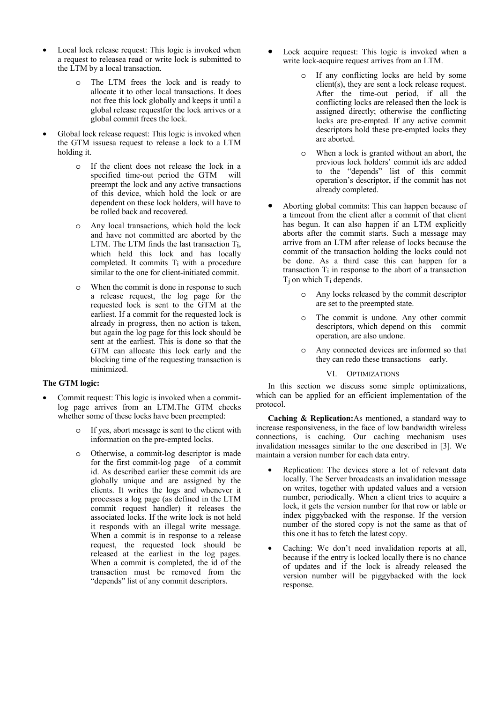- Local lock release request: This logic is invoked when a request to releasea read or write lock is submitted to the LTM by a local transaction.
	- o The LTM frees the lock and is ready to allocate it to other local transactions. It does not free this lock globally and keeps it until a global release requestfor the lock arrives or a global commit frees the lock.
- Global lock release request: This logic is invoked when the GTM issuesa request to release a lock to a LTM holding it.
	- o If the client does not release the lock in a specified time-out period the GTM will preempt the lock and any active transactions of this device, which hold the lock or are dependent on these lock holders, will have to be rolled back and recovered.
	- o Any local transactions, which hold the lock and have not committed are aborted by the LTM. The LTM finds the last transaction Ti, which held this lock and has locally completed. It commits Ti with a procedure similar to the one for client-initiated commit.
	- o When the commit is done in response to such a release request, the log page for the requested lock is sent to the GTM at the earliest. If a commit for the requested lock is already in progress, then no action is taken, but again the log page for this lock should be sent at the earliest. This is done so that the GTM can allocate this lock early and the blocking time of the requesting transaction is minimized.

# **The GTM logic:**

- Commit request: This logic is invoked when a commitlog page arrives from an LTM.The GTM checks whether some of these locks have been preempted:
	- If yes, abort message is sent to the client with information on the pre-empted locks.
	- o Otherwise, a commit-log descriptor is made for the first commit-log page of a commit id. As described earlier these commit ids are globally unique and are assigned by the clients. It writes the logs and whenever it processes a log page (as defined in the LTM commit request handler) it releases the associated locks. If the write lock is not held it responds with an illegal write message. When a commit is in response to a release request, the requested lock should be released at the earliest in the log pages. When a commit is completed, the id of the transaction must be removed from the "depends" list of any commit descriptors.
- Lock acquire request: This logic is invoked when a write lock-acquire request arrives from an LTM.
	- o If any conflicting locks are held by some client(s), they are sent a lock release request. After the time-out period, if all the conflicting locks are released then the lock is assigned directly; otherwise the conflicting locks are pre-empted. If any active commit descriptors hold these pre-empted locks they are aborted.
	- o When a lock is granted without an abort, the previous lock holders' commit ids are added to the "depends" list of this commit operation's descriptor, if the commit has not already completed.
- Aborting global commits: This can happen because of a timeout from the client after a commit of that client has begun. It can also happen if an LTM explicitly aborts after the commit starts. Such a message may arrive from an LTM after release of locks because the commit of the transaction holding the locks could not be done. As a third case this can happen for a transaction  $T_i$  in response to the abort of a transaction Tj on which Ti depends.
	- o Any locks released by the commit descriptor are set to the preempted state.
	- o The commit is undone. Any other commit descriptors, which depend on this commit operation, are also undone.
	- o Any connected devices are informed so that they can redo these transactions early.

## VI. OPTIMIZATIONS

In this section we discuss some simple optimizations, which can be applied for an efficient implementation of the protocol.

**Caching & Replication:**As mentioned, a standard way to increase responsiveness, in the face of low bandwidth wireless connections, is caching. Our caching mechanism uses invalidation messages similar to the one described in [3]. We maintain a version number for each data entry.

- Replication: The devices store a lot of relevant data locally. The Server broadcasts an invalidation message on writes, together with updated values and a version number, periodically. When a client tries to acquire a lock, it gets the version number for that row or table or index piggybacked with the response. If the version number of the stored copy is not the same as that of this one it has to fetch the latest copy.
- Caching: We don't need invalidation reports at all. because if the entry is locked locally there is no chance of updates and if the lock is already released the version number will be piggybacked with the lock response.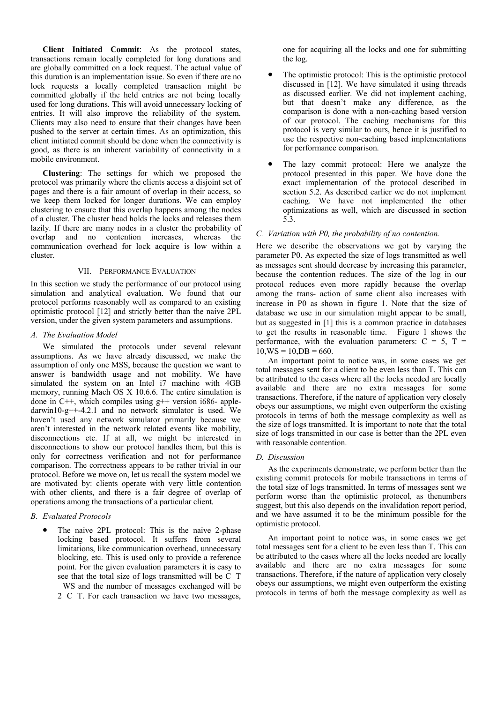**Client Initiated Commit**: As the protocol states, transactions remain locally completed for long durations and are globally committed on a lock request. The actual value of this duration is an implementation issue. So even if there are no lock requests a locally completed transaction might be committed globally if the held entries are not being locally used for long durations. This will avoid unnecessary locking of entries. It will also improve the reliability of the system. Clients may also need to ensure that their changes have been pushed to the server at certain times. As an optimization, this client initiated commit should be done when the connectivity is good, as there is an inherent variability of connectivity in a mobile environment.

**Clustering**: The settings for which we proposed the protocol was primarily where the clients access a disjoint set of pages and there is a fair amount of overlap in their access, so we keep them locked for longer durations. We can employ clustering to ensure that this overlap happens among the nodes of a cluster. The cluster head holds the locks and releases them lazily. If there are many nodes in a cluster the probability of overlap and no contention increases, whereas the communication overhead for lock acquire is low within a cluster.

# VII. PERFORMANCE EVALUATION

In this section we study the performance of our protocol using simulation and analytical evaluation. We found that our protocol performs reasonably well as compared to an existing optimistic protocol [12] and strictly better than the naive 2PL version, under the given system parameters and assumptions.

#### *A. The Evaluation Model*

We simulated the protocols under several relevant assumptions. As we have already discussed, we make the assumption of only one MSS, because the question we want to answer is bandwidth usage and not mobility. We have simulated the system on an Intel i7 machine with 4GB memory, running Mach OS X 10.6.6. The entire simulation is done in C++, which compiles using g++ version i686- appledarwin10-g++-4.2.1 and no network simulator is used. We haven't used any network simulator primarily because we aren't interested in the network related events like mobility, disconnections etc. If at all, we might be interested in disconnections to show our protocol handles them, but this is only for correctness verification and not for performance comparison. The correctness appears to be rather trivial in our protocol. Before we move on, let us recall the system model we are motivated by: clients operate with very little contention with other clients, and there is a fair degree of overlap of operations among the transactions of a particular client.

# *B. Evaluated Protocols*

The naive 2PL protocol: This is the naive 2-phase locking based protocol. It suffers from several limitations, like communication overhead, unnecessary blocking, etc. This is used only to provide a reference point. For the given evaluation parameters it is easy to see that the total size of logs transmitted will be CT WS and the number of messages exchanged will be 2 C T. For each transaction we have two messages, one for acquiring all the locks and one for submitting the log.

- The optimistic protocol: This is the optimistic protocol discussed in [12]. We have simulated it using threads as discussed earlier. We did not implement caching, but that doesn't make any difference, as the comparison is done with a non-caching based version of our protocol. The caching mechanisms for this protocol is very similar to ours, hence it is justified to use the respective non-caching based implementations for performance comparison.
- The lazy commit protocol: Here we analyze the protocol presented in this paper. We have done the exact implementation of the protocol described in section 5.2. As described earlier we do not implement caching. We have not implemented the other optimizations as well, which are discussed in section 5.3.

## *C. Variation with P0, the probability of no contention.*

Here we describe the observations we got by varying the parameter P0. As expected the size of logs transmitted as well as messages sent should decrease by increasing this parameter, because the contention reduces. The size of the log in our protocol reduces even more rapidly because the overlap among the trans- action of same client also increases with increase in P0 as shown in figure 1. Note that the size of database we use in our simulation might appear to be small, but as suggested in [1] this is a common practice in databases to get the results in reasonable time. Figure 1 shows the performance, with the evaluation parameters:  $C = 5$ ,  $T =$  $10$ ,  $WS = 10$ ,  $DB = 660$ .

An important point to notice was, in some cases we get total messages sent for a client to be even less than T. This can be attributed to the cases where all the locks needed are locally available and there are no extra messages for some transactions. Therefore, if the nature of application very closely obeys our assumptions, we might even outperform the existing protocols in terms of both the message complexity as well as the size of logs transmitted. It is important to note that the total size of logs transmitted in our case is better than the 2PL even with reasonable contention.

## *D. Discussion*

As the experiments demonstrate, we perform better than the existing commit protocols for mobile transactions in terms of the total size of logs transmitted. In terms of messages sent we perform worse than the optimistic protocol, as thenumbers suggest, but this also depends on the invalidation report period, and we have assumed it to be the minimum possible for the optimistic protocol.

An important point to notice was, in some cases we get total messages sent for a client to be even less than T. This can be attributed to the cases where all the locks needed are locally available and there are no extra messages for some transactions. Therefore, if the nature of application very closely obeys our assumptions, we might even outperform the existing protocols in terms of both the message complexity as well as